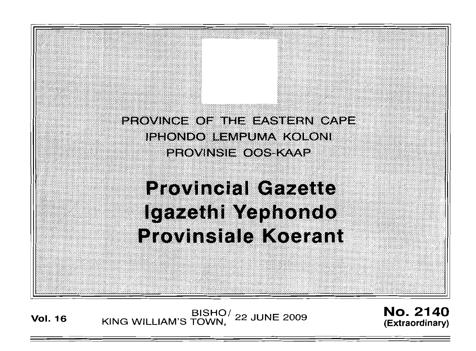PROVINCE OF THE EASTERN CAPE IPHONDO LEMPUMA KOLONI **PROVINSIE OOS-KAAP** 

# **Provincial Gazette** Igazethi Yephondo **Provinsiale Koerant**

**Vol. <sup>16</sup>** BISHO/ KING WILLIAM'S TOWN, 22 JUNE 2009

No. 2140 (Extraordinary)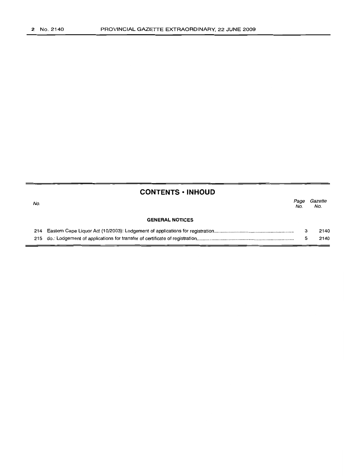|     | <b>CONTENTS • INHOUD</b> |             |                |  |
|-----|--------------------------|-------------|----------------|--|
| No. |                          | Page<br>No. | Gazette<br>No. |  |
|     | <b>GENERAL NOTICES</b>   |             |                |  |
|     |                          |             | 2140           |  |
|     |                          |             | 2140           |  |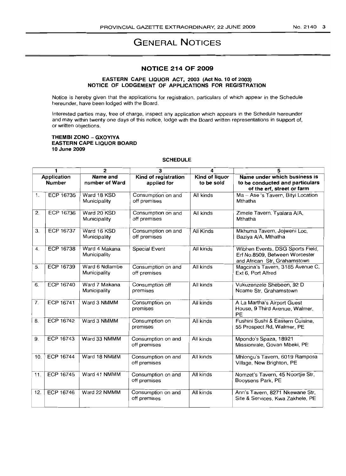# **GENERAL NOTICES**

# **NOTICE 214 OF 2009**

#### **EASTERN CAPE LIQUOR ACT, 2003 (Act No. 10 of 2003) NOTICE OF LODGEMENT OF APPLICATIONS FOR REGISTRATION**

Notice is hereby given that the applications for registration, particulars of which appear in the Schedule hereunder, have been lodged with the Board.

Interested parties may, free of charge, inspect any application which appears in the Schedule hereunder and may within twenty one days of this notice, lodge with the Board written representations in support of, or written objections.

#### **THEMBI ZONO - GXOYIYA EASTERN CAPE LIQUOR BOARD 10 June 2009**

# **SCHEDULE**

| 1                                   |                  | $\overline{2}$                 | 3                                   | 4                            | 5                                                                                                  |
|-------------------------------------|------------------|--------------------------------|-------------------------------------|------------------------------|----------------------------------------------------------------------------------------------------|
| <b>Application</b><br><b>Number</b> |                  | Name and<br>number of Ward     | Kind of registration<br>applied for | Kind of liquor<br>to be sold | Name under which business is<br>to be conducted and particulars<br>of the erf, street or farm      |
| 1.                                  | ECP 16735        | Ward 18 KSD<br>Municipality    | Consumption on and<br>off premises  | All kinds                    | Ma - Ase 's Tavern, Bityi Location<br>Mthatha                                                      |
| 2.                                  | <b>ECP 16736</b> | Ward 20 KSD<br>Municipality    | Consumption on and<br>off premises  | All kinds                    | Zimele Tavern, Tyalara A/A,<br>Mthatha                                                             |
| 3.                                  | <b>ECP 16737</b> | Ward 16 KSD<br>Municipality    | Consumption on and<br>off premises  | All Kinds                    | Mkhuma Tavern, Jojweni Loc,<br>Baziya A/A, Mthatha                                                 |
| 4.                                  | <b>ECP 16738</b> | Ward 4 Makana<br>Municipality  | Special Event                       | All kinds                    | Wibhen Events, DSG Sports Field,<br>Erf No.8509, Between Worcester<br>and African Str, Grahamstown |
| 5.                                  | ECP 16739        | Ward 6 Ndlambe<br>Municipality | Consumption on and<br>off premises  | All kinds                    | Magcina's Tavern, 3185 Avenue C,<br>Ext 6, Port Alfred                                             |
| 6.                                  | <b>ECP 16740</b> | Ward 7 Makana<br>Municipality  | Consumption off<br>premises         | All kinds                    | Vukuzenzele Shebeen, 92 D<br>Ncame Str, Grahamstown                                                |
| 7.                                  | ECP 16741        | Ward 3 NMMM                    | Consumption on<br>premises          | All kinds                    | A La Martha's Airport Guest<br>House, 9 Third Avenue, Walmer,<br>PE                                |
| 8.                                  | ECP 16742        | Ward 3 NMMM                    | Consumption on<br>premises          | All kinds                    | Fushini Sushi & Eastern Cuisine,<br>55 Prospect Rd, Walmer, PE                                     |
| 9.                                  | ECP 16743        | Ward 33 NMMM                   | Consumption on and<br>off premises  | All kinds                    | Mpondo's Spaza, 18921<br>Missionvale, Govan Mbeki, PE                                              |
| 10.                                 | <b>ECP 16744</b> | Ward 18 NMMM                   | Consumption on and<br>off premises  | All kinds                    | Mhlongu's Tavern, 6019 Ramposa<br>Village, New Brighton, PE                                        |
| 11.                                 | ECP 16745        | Ward 41 NMMM                   | Consumption on and<br>off premises  | All kinds                    | Nomzet's Tavern, 45 Noortjie Str,<br>Booysens Park, PE                                             |
| 12.                                 | <b>ECP 16746</b> | Ward 22 NMMM                   | Consumption on and<br>off premises  | All kinds                    | Ann's Tavern, 8271 Nkewane Str,<br>Site & Services, Kwa Zakhele, PE                                |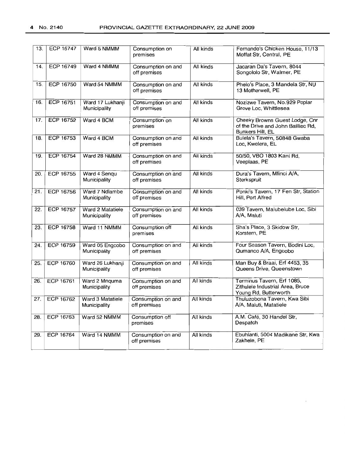| 13.               | <b>ECP 16747</b> | Ward 5 NMMM                      | Consumption on<br>premises         | All kinds | Fernando's Chicken House, 11/13<br>Moffat Str. Central, PE                               |  |
|-------------------|------------------|----------------------------------|------------------------------------|-----------|------------------------------------------------------------------------------------------|--|
| 14.               | <b>ECP 16749</b> | Ward 4 NMMM                      | Consumption on and<br>off premises | All kinds | Jacaran Da's Tavern, 8044<br>Songololo Str, Walmer, PE                                   |  |
| 15.               | ECP 16750        | Ward 54 NMMM                     | Consumption on and<br>off premises | All kinds | Phelo's Place, 3 Mandela Str, NU<br>13 Motherwell, PE                                    |  |
| 16.               | <b>ECP 16751</b> | Ward 17 Lukhanji<br>Municipality | Consumption on and<br>off premises | All kinds | Nozizwe Tavern, No.929 Poplar<br>Grove Loc, Whittlesea                                   |  |
| 17.               | ECP 16752        | Ward 4 BCM                       | Consumption on<br>premises         | All kinds | Cheeky Browns Guest Lodge, Cnr<br>of the Drive and John Bailliec Rd,<br>Bunkers Hill, EL |  |
| 18.               | ECP 16753        | Ward 4 BCM                       | Consumption on and<br>off premises | All kinds | Bulela's Tavern, 50848 Gwaba<br>Loc, Kwelera, EL                                         |  |
| 19.               | <b>ECP 16754</b> | Ward 28 NMMM                     | Consumption on and<br>off premises | All kinds | 50/50, VBO 1803 Kani Rd,<br>Veeplaas, PE                                                 |  |
| 20.               | <b>ECP 16755</b> | Ward 4 Sengu<br>Municipality     | Consumption on and<br>off premises | All kinds | Dura's Tavern, Mfinci A/A,<br>Sterkspruit                                                |  |
| 21.               | ECP 16756        | Ward 7 Ndlambe<br>Municipality   | Consumption on and<br>off premises | All kinds | Ponki's Tavern, 17 Fen Str, Station<br>Hill, Port Alfred                                 |  |
| $\overline{22}$ . | <b>ECP 16757</b> | Ward 2 Matatiele<br>Municipality | Consumption on and<br>off premises | All kinds | 039 Tavern, Malubelube Loc, Sibi<br>A/A, Maluti                                          |  |
| 23.               | ECP 16758        | Ward 11 NMMM                     | Consumption off<br>premises        | All kinds | Sha's Place, 3 Skidow Str,<br>Korstern, PE                                               |  |
| 24.               | <b>ECP 16759</b> | Ward 05 Engcobo<br>Municipality  | Consumption on and<br>off premises | All kinds | Four Season Tavern, Bodini Loc,<br>Qumanco A/A, Engcobo                                  |  |
| 25.               | ECP 16760        | Ward 26 Lukhanji<br>Municipality | Consumption on and<br>off premises | All kinds | Man Buy & Braai, Erf 4453, 35<br>Queens Drive, Queenstown                                |  |
| 26.               | <b>ECP 16761</b> | Ward 2 Mnquma<br>Municipality    | Consumption on and<br>off premises | All kinds | Terminus Tavern, Erf 1085,<br>Zithulele Industrial Area, Bruce<br>Young Rd, Butterworth  |  |
| 27.               | ECP 16762        | Ward 3 Matatiele<br>Municipality | Consumption on and<br>off premises | All kinds | Thuluzobona Tavern, Kwa Sibi<br>A/A, Maluti, Matatiele                                   |  |
| 28.               | ECP 16763        | Ward 52 NMMM                     | Consumption off<br>premises        | All kinds | A.M. Café, 30 Handel Str,<br>Despatch                                                    |  |
| 29.               | <b>ECP 16764</b> | Ward 14 NMMM                     | Consumption on and<br>off premises | All kinds | Ebuhlanti, 5004 Madikane Str, Kwa<br>Zakhele, PE                                         |  |